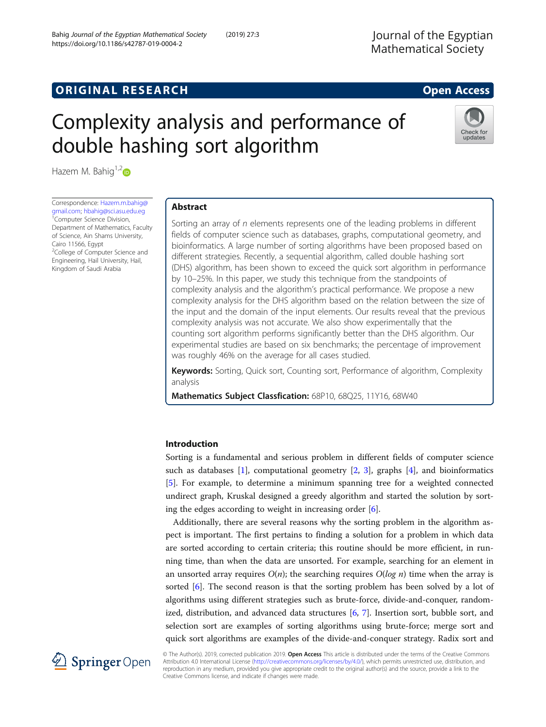# **ORIGINAL RESEARCH CONSUMING ACCESS**

# Complexity analysis and performance of double hashing sort algorithm



Hazem M. Bahig $1,2$ 

Correspondence: [Hazem.m.bahig@](mailto:Hazem.m.bahig@gmail.com) [gmail.com;](mailto:Hazem.m.bahig@gmail.com) [hbahig@sci.asu.edu.eg](mailto:hbahig@sci.asu.edu.eg) <sup>1</sup> <sup>1</sup>Computer Science Division, Department of Mathematics, Faculty of Science, Ain Shams University, Cairo 11566, Egypt <sup>2</sup>College of Computer Science and Engineering, Hail University, Hail, Kingdom of Saudi Arabia

# Abstract

Sorting an array of n elements represents one of the leading problems in different fields of computer science such as databases, graphs, computational geometry, and bioinformatics. A large number of sorting algorithms have been proposed based on different strategies. Recently, a sequential algorithm, called double hashing sort (DHS) algorithm, has been shown to exceed the quick sort algorithm in performance by 10–25%. In this paper, we study this technique from the standpoints of complexity analysis and the algorithm's practical performance. We propose a new complexity analysis for the DHS algorithm based on the relation between the size of the input and the domain of the input elements. Our results reveal that the previous complexity analysis was not accurate. We also show experimentally that the counting sort algorithm performs significantly better than the DHS algorithm. Our experimental studies are based on six benchmarks; the percentage of improvement was roughly 46% on the average for all cases studied.

Keywords: Sorting, Quick sort, Counting sort, Performance of algorithm, Complexity analysis

Mathematics Subject Classfication: 68P10, 68Q25, 11Y16, 68W40

# Introduction

Sorting is a fundamental and serious problem in different fields of computer science such as databases  $[1]$  $[1]$ , computational geometry  $[2, 3]$  $[2, 3]$  $[2, 3]$  $[2, 3]$ , graphs  $[4]$  $[4]$ , and bioinformatics [[5\]](#page-11-0). For example, to determine a minimum spanning tree for a weighted connected undirect graph, Kruskal designed a greedy algorithm and started the solution by sorting the edges according to weight in increasing order [\[6\]](#page-11-0).

Additionally, there are several reasons why the sorting problem in the algorithm aspect is important. The first pertains to finding a solution for a problem in which data are sorted according to certain criteria; this routine should be more efficient, in running time, than when the data are unsorted. For example, searching for an element in an unsorted array requires  $O(n)$ ; the searching requires  $O(log n)$  time when the array is sorted [[6\]](#page-11-0). The second reason is that the sorting problem has been solved by a lot of algorithms using different strategies such as brute-force, divide-and-conquer, randomized, distribution, and advanced data structures [[6](#page-11-0), [7](#page-11-0)]. Insertion sort, bubble sort, and selection sort are examples of sorting algorithms using brute-force; merge sort and quick sort algorithms are examples of the divide-and-conquer strategy. Radix sort and



© The Author(s). 2019, corrected publication 2019. Open Access This article is distributed under the terms of the Creative Commons Attribution 4.0 International License ([http://creativecommons.org/licenses/by/4.0/\)](http://creativecommons.org/licenses/by/4.0/), which permits unrestricted use, distribution, and reproduction in any medium, provided you give appropriate credit to the original author(s) and the source, provide a link to the Creative Commons license, and indicate if changes were made.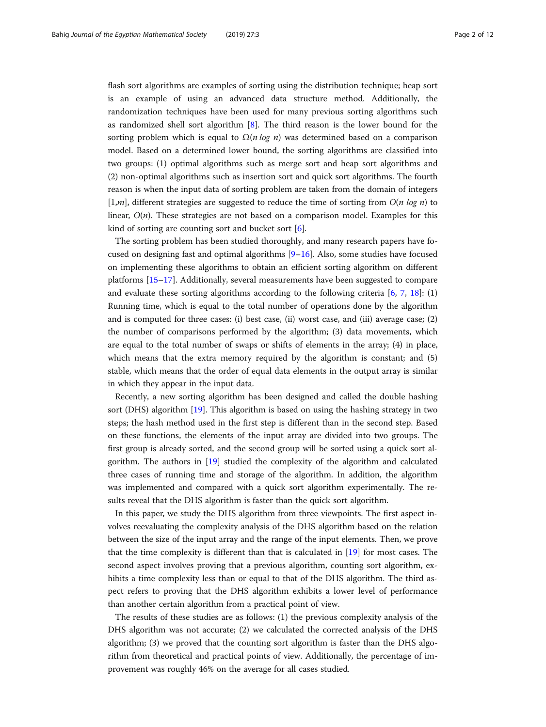flash sort algorithms are examples of sorting using the distribution technique; heap sort is an example of using an advanced data structure method. Additionally, the randomization techniques have been used for many previous sorting algorithms such as randomized shell sort algorithm [\[8](#page-11-0)]. The third reason is the lower bound for the sorting problem which is equal to  $\Omega(n \log n)$  was determined based on a comparison model. Based on a determined lower bound, the sorting algorithms are classified into two groups: (1) optimal algorithms such as merge sort and heap sort algorithms and (2) non-optimal algorithms such as insertion sort and quick sort algorithms. The fourth reason is when the input data of sorting problem are taken from the domain of integers  $[1,m]$ , different strategies are suggested to reduce the time of sorting from  $O(n \log n)$  to linear,  $O(n)$ . These strategies are not based on a comparison model. Examples for this kind of sorting are counting sort and bucket sort [\[6](#page-11-0)].

The sorting problem has been studied thoroughly, and many research papers have focused on designing fast and optimal algorithms  $[9-16]$  $[9-16]$  $[9-16]$  $[9-16]$ . Also, some studies have focused on implementing these algorithms to obtain an efficient sorting algorithm on different platforms [[15](#page-11-0)–[17](#page-11-0)]. Additionally, several measurements have been suggested to compare and evaluate these sorting algorithms according to the following criteria  $[6, 7, 18]$  $[6, 7, 18]$  $[6, 7, 18]$  $[6, 7, 18]$  $[6, 7, 18]$  $[6, 7, 18]$ : (1) Running time, which is equal to the total number of operations done by the algorithm and is computed for three cases: (i) best case, (ii) worst case, and (iii) average case; (2) the number of comparisons performed by the algorithm; (3) data movements, which are equal to the total number of swaps or shifts of elements in the array; (4) in place, which means that the extra memory required by the algorithm is constant; and  $(5)$ stable, which means that the order of equal data elements in the output array is similar in which they appear in the input data.

Recently, a new sorting algorithm has been designed and called the double hashing sort (DHS) algorithm [\[19\]](#page-11-0). This algorithm is based on using the hashing strategy in two steps; the hash method used in the first step is different than in the second step. Based on these functions, the elements of the input array are divided into two groups. The first group is already sorted, and the second group will be sorted using a quick sort algorithm. The authors in [\[19](#page-11-0)] studied the complexity of the algorithm and calculated three cases of running time and storage of the algorithm. In addition, the algorithm was implemented and compared with a quick sort algorithm experimentally. The results reveal that the DHS algorithm is faster than the quick sort algorithm.

In this paper, we study the DHS algorithm from three viewpoints. The first aspect involves reevaluating the complexity analysis of the DHS algorithm based on the relation between the size of the input array and the range of the input elements. Then, we prove that the time complexity is different than that is calculated in [\[19\]](#page-11-0) for most cases. The second aspect involves proving that a previous algorithm, counting sort algorithm, exhibits a time complexity less than or equal to that of the DHS algorithm. The third aspect refers to proving that the DHS algorithm exhibits a lower level of performance than another certain algorithm from a practical point of view.

The results of these studies are as follows: (1) the previous complexity analysis of the DHS algorithm was not accurate; (2) we calculated the corrected analysis of the DHS algorithm; (3) we proved that the counting sort algorithm is faster than the DHS algorithm from theoretical and practical points of view. Additionally, the percentage of improvement was roughly 46% on the average for all cases studied.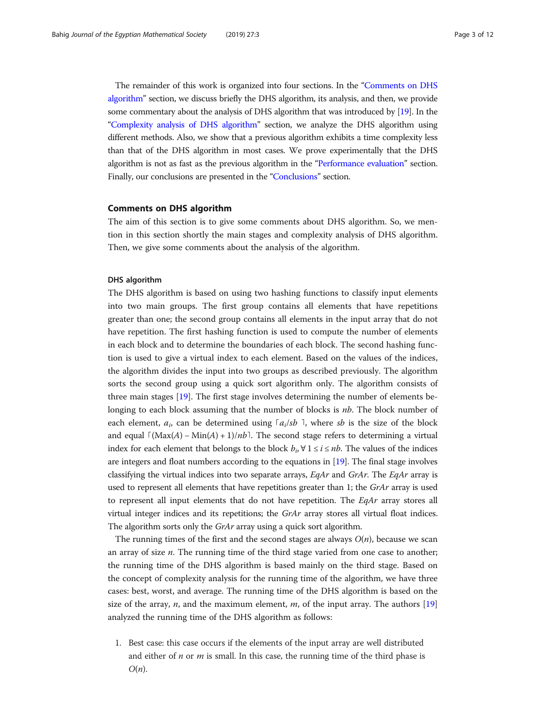The remainder of this work is organized into four sections. In the "[Comments on DHS](#page-3-0) [algorithm](#page-3-0)" section, we discuss briefly the DHS algorithm, its analysis, and then, we provide some commentary about the analysis of DHS algorithm that was introduced by [[19](#page-11-0)]. In the "[Complexity analysis of DHS algorithm](#page-4-0)" section, we analyze the DHS algorithm using different methods. Also, we show that a previous algorithm exhibits a time complexity less than that of the DHS algorithm in most cases. We prove experimentally that the DHS algorithm is not as fast as the previous algorithm in the "[Performance evaluation](#page-7-0)" section. Finally, our conclusions are presented in the "[Conclusions](#page-10-0)" section.

# Comments on DHS algorithm

The aim of this section is to give some comments about DHS algorithm. So, we mention in this section shortly the main stages and complexity analysis of DHS algorithm. Then, we give some comments about the analysis of the algorithm.

## DHS algorithm

The DHS algorithm is based on using two hashing functions to classify input elements into two main groups. The first group contains all elements that have repetitions greater than one; the second group contains all elements in the input array that do not have repetition. The first hashing function is used to compute the number of elements in each block and to determine the boundaries of each block. The second hashing function is used to give a virtual index to each element. Based on the values of the indices, the algorithm divides the input into two groups as described previously. The algorithm sorts the second group using a quick sort algorithm only. The algorithm consists of three main stages [\[19](#page-11-0)]. The first stage involves determining the number of elements belonging to each block assuming that the number of blocks is *nb*. The block number of each element,  $a_i$  can be determined using  $\lceil a_i/sb \rceil$ , where sb is the size of the block and equal  $\lceil (\text{Max}(A) - \text{Min}(A) + 1)/nb \rceil$ . The second stage refers to determining a virtual index for each element that belongs to the block  $b_i$ ,  $\forall$  1 ≤ *i* ≤ *nb*. The values of the indices are integers and float numbers according to the equations in [\[19\]](#page-11-0). The final stage involves classifying the virtual indices into two separate arrays,  $EqAr$  and  $GrAr$ . The  $EqAr$  array is used to represent all elements that have repetitions greater than 1; the  $GrAr$  array is used to represent all input elements that do not have repetition. The EqAr array stores all virtual integer indices and its repetitions; the GrAr array stores all virtual float indices. The algorithm sorts only the GrAr array using a quick sort algorithm.

The running times of the first and the second stages are always  $O(n)$ , because we scan an array of size  $n$ . The running time of the third stage varied from one case to another; the running time of the DHS algorithm is based mainly on the third stage. Based on the concept of complexity analysis for the running time of the algorithm, we have three cases: best, worst, and average. The running time of the DHS algorithm is based on the size of the array,  $n$ , and the maximum element,  $m$ , of the input array. The authors [[19](#page-11-0)] analyzed the running time of the DHS algorithm as follows:

1. Best case: this case occurs if the elements of the input array are well distributed and either of *n* or *m* is small. In this case, the running time of the third phase is  $O(n)$ .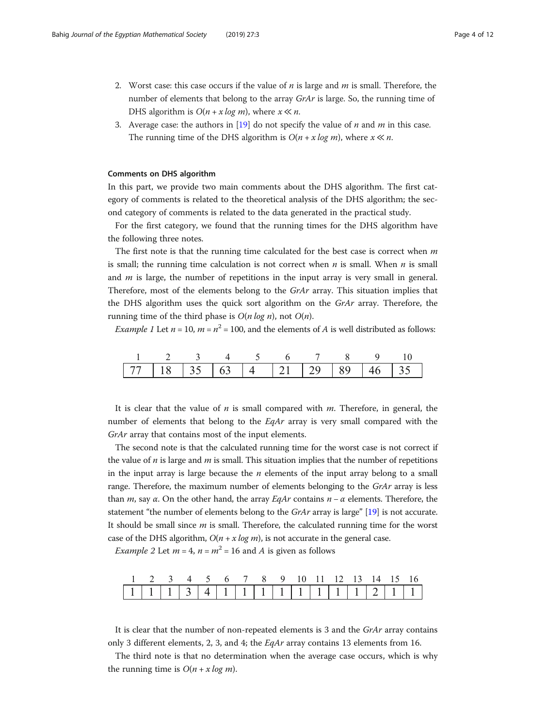- <span id="page-3-0"></span>2. Worst case: this case occurs if the value of  $n$  is large and  $m$  is small. Therefore, the number of elements that belong to the array  $GrAr$  is large. So, the running time of DHS algorithm is  $O(n + x \log m)$ , where  $x \ll n$ .
- 3. Average case: the authors in [[19](#page-11-0)] do not specify the value of  $n$  and  $m$  in this case. The running time of the DHS algorithm is  $O(n + x \log m)$ , where  $x \ll n$ .

#### Comments on DHS algorithm

In this part, we provide two main comments about the DHS algorithm. The first category of comments is related to the theoretical analysis of the DHS algorithm; the second category of comments is related to the data generated in the practical study.

For the first category, we found that the running times for the DHS algorithm have the following three notes.

The first note is that the running time calculated for the best case is correct when  $m$ is small; the running time calculation is not correct when  $n$  is small. When  $n$  is small and  $m$  is large, the number of repetitions in the input array is very small in general. Therefore, most of the elements belong to the GrAr array. This situation implies that the DHS algorithm uses the quick sort algorithm on the  $GrAr$  array. Therefore, the running time of the third phase is  $O(n \log n)$ , not  $O(n)$ .

*Example 1* Let  $n = 10$ ,  $m = n^2 = 100$ , and the elements of A is well distributed as follows:

| 1 2 3 4 5 6 7 8 9 10 |                                                |  |  |  |  |  |  |
|----------------------|------------------------------------------------|--|--|--|--|--|--|
|                      | 77   18   35   63   4   21   29   89   46   35 |  |  |  |  |  |  |

It is clear that the value of  $n$  is small compared with  $m$ . Therefore, in general, the number of elements that belong to the EqAr array is very small compared with the GrAr array that contains most of the input elements.

The second note is that the calculated running time for the worst case is not correct if the value of  $n$  is large and  $m$  is small. This situation implies that the number of repetitions in the input array is large because the  $n$  elements of the input array belong to a small range. Therefore, the maximum number of elements belonging to the *GrAr* array is less than m, say  $\alpha$ . On the other hand, the array EqAr contains  $n - \alpha$  elements. Therefore, the statement "the number of elements belong to the GrAr array is large" [\[19](#page-11-0)] is not accurate. It should be small since  $m$  is small. Therefore, the calculated running time for the worst case of the DHS algorithm,  $O(n + x \log m)$ , is not accurate in the general case.

*Example 2* Let  $m = 4$ ,  $n = m^2 = 16$  and A is given as follows

| 1 2 3 4 5 6 7 8 9 10 11 12 13 14 15 16 |  |  |  |  |  |  |  |  |
|----------------------------------------|--|--|--|--|--|--|--|--|
|                                        |  |  |  |  |  |  |  |  |

It is clear that the number of non-repeated elements is 3 and the  $GrAr$  array contains only 3 different elements, 2, 3, and 4; the EqAr array contains 13 elements from 16.

The third note is that no determination when the average case occurs, which is why the running time is  $O(n + x \log m)$ .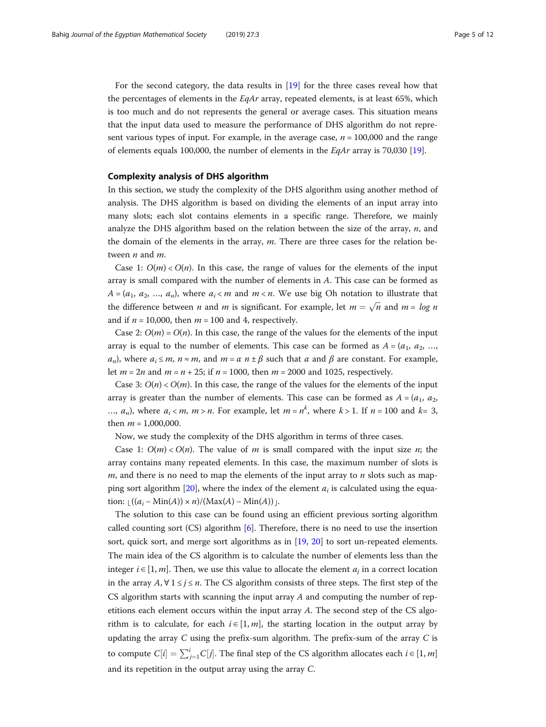<span id="page-4-0"></span>For the second category, the data results in [[19\]](#page-11-0) for the three cases reveal how that the percentages of elements in the  $EqAr$  array, repeated elements, is at least 65%, which is too much and do not represents the general or average cases. This situation means that the input data used to measure the performance of DHS algorithm do not represent various types of input. For example, in the average case,  $n = 100,000$  and the range of elements equals 100,000, the number of elements in the EqAr array is 70,030 [\[19](#page-11-0)].

# Complexity analysis of DHS algorithm

In this section, we study the complexity of the DHS algorithm using another method of analysis. The DHS algorithm is based on dividing the elements of an input array into many slots; each slot contains elements in a specific range. Therefore, we mainly analyze the DHS algorithm based on the relation between the size of the array,  $n$ , and the domain of the elements in the array,  $m$ . There are three cases for the relation between *n* and *m*.

Case 1:  $O(m) < O(n)$ . In this case, the range of values for the elements of the input array is small compared with the number of elements in A. This case can be formed as  $A = (a_1, a_2, ..., a_n)$ , where  $a_i < m$  and  $m < n$ . We use big Oh notation to illustrate that the difference between *n* and *m* is significant. For example, let  $m = \sqrt{n}$  and  $m = log n$ and if  $n = 10,000$ , then  $m = 100$  and 4, respectively.

Case 2:  $O(m) = O(n)$ . In this case, the range of the values for the elements of the input array is equal to the number of elements. This case can be formed as  $A = (a_1, a_2, \ldots, a_n)$  $a_n$ ), where  $a_i \le m$ ,  $n \approx m$ , and  $m = \alpha n \pm \beta$  such that  $\alpha$  and  $\beta$  are constant. For example, let  $m = 2n$  and  $m = n + 25$ ; if  $n = 1000$ , then  $m = 2000$  and 1025, respectively.

Case 3:  $O(n) < O(m)$ . In this case, the range of the values for the elements of the input array is greater than the number of elements. This case can be formed as  $A = (a_1, a_2, a_3)$ ...,  $a_n$ ), where  $a_i < m$ ,  $m > n$ . For example, let  $m = n^k$ , where  $k > 1$ . If  $n = 100$  and  $k = 3$ , then  $m = 1,000,000$ .

Now, we study the complexity of the DHS algorithm in terms of three cases.

Case 1:  $O(m) < O(n)$ . The value of *m* is small compared with the input size *n*; the array contains many repeated elements. In this case, the maximum number of slots is  $m$ , and there is no need to map the elements of the input array to  $n$  slots such as map-ping sort algorithm [[20\]](#page-11-0), where the index of the element  $a_i$  is calculated using the equation:  $\left(\frac{(a_i - \text{Min}(A)) \times n}{(\text{Max}(A) - \text{Min}(A))}\right)$ .

The solution to this case can be found using an efficient previous sorting algorithm called counting sort  $(CS)$  algorithm [\[6](#page-11-0)]. Therefore, there is no need to use the insertion sort, quick sort, and merge sort algorithms as in [[19](#page-11-0), [20\]](#page-11-0) to sort un-repeated elements. The main idea of the CS algorithm is to calculate the number of elements less than the integer  $i \in [1, m]$ . Then, we use this value to allocate the element  $a_i$  in a correct location in the array  $A$ ,  $\forall$  1 ≤  $j$  ≤  $n$ . The CS algorithm consists of three steps. The first step of the CS algorithm starts with scanning the input array  $A$  and computing the number of repetitions each element occurs within the input array  $A$ . The second step of the CS algorithm is to calculate, for each  $i \in [1, m]$ , the starting location in the output array by updating the array  $C$  using the prefix-sum algorithm. The prefix-sum of the array  $C$  is to compute  $C[i] = \sum_{j=1}^{i} C[j]$ . The final step of the CS algorithm allocates each  $i \in [1, m]$ and its repetition in the output array using the array C.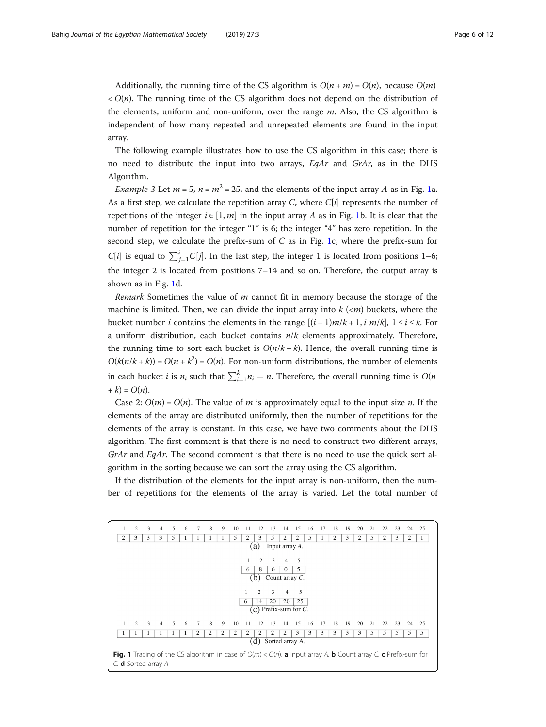Additionally, the running time of the CS algorithm is  $O(n + m) = O(n)$ , because  $O(m)$  $\langle O(n)$ . The running time of the CS algorithm does not depend on the distribution of the elements, uniform and non-uniform, over the range m. Also, the CS algorithm is independent of how many repeated and unrepeated elements are found in the input array.

The following example illustrates how to use the CS algorithm in this case; there is no need to distribute the input into two arrays,  $EqAr$  and  $GrAr$ , as in the DHS Algorithm.

*Example 3* Let  $m = 5$ ,  $n = m^2 = 25$ , and the elements of the input array A as in Fig. 1a. As a first step, we calculate the repetition array C, where  $C[i]$  represents the number of repetitions of the integer  $i \in [1, m]$  in the input array A as in Fig. 1b. It is clear that the number of repetition for the integer "1" is 6; the integer "4" has zero repetition. In the second step, we calculate the prefix-sum of  $C$  as in Fig. 1c, where the prefix-sum for  $C[i]$  is equal to  $\sum_{j=1}^{i} C[j]$ . In the last step, the integer 1 is located from positions 1–6; the integer 2 is located from positions 7–14 and so on. Therefore, the output array is shown as in Fig. 1d.

Remark Sometimes the value of m cannot fit in memory because the storage of the machine is limited. Then, we can divide the input array into  $k \, \langle \langle m \rangle$  buckets, where the bucket number *i* contains the elements in the range  $[(i-1)m/k+1, i m/k], 1 \le i \le k$ . For a uniform distribution, each bucket contains  $n/k$  elements approximately. Therefore, the running time to sort each bucket is  $O(n/k + k)$ . Hence, the overall running time is  $O(k(n/k + k)) = O(n + k^2) = O(n)$ . For non-uniform distributions, the number of elements in each bucket *i* is  $n_i$  such that  $\sum_{i=1}^{k} n_i = n$ . Therefore, the overall running time is  $O(n)$  $+ k$ ) =  $O(n)$ .

Case 2:  $O(m) = O(n)$ . The value of m is approximately equal to the input size n. If the elements of the array are distributed uniformly, then the number of repetitions for the elements of the array is constant. In this case, we have two comments about the DHS algorithm. The first comment is that there is no need to construct two different arrays,  $GrAr$  and  $EqAr$ . The second comment is that there is no need to use the quick sort algorithm in the sorting because we can sort the array using the CS algorithm.

If the distribution of the elements for the input array is non-uniform, then the number of repetitions for the elements of the array is varied. Let the total number of

|                                                                                                                                              | 2                            | 3 | 4 | 5  | 6 | 7               | 8 | 9 | 10 |    | 12             | 13             | 14             | 15                | 16 |    | 18 | 19 | 20 | 21 | 22 | 23 | 24 | 25 |
|----------------------------------------------------------------------------------------------------------------------------------------------|------------------------------|---|---|----|---|-----------------|---|---|----|----|----------------|----------------|----------------|-------------------|----|----|----|----|----|----|----|----|----|----|
| 2                                                                                                                                            | 3                            | 3 | 3 | 5  |   |                 |   |   | 5  | 2  | 3              | 5              | 2              | 2                 | 5  |    | 2  | 3  | 2  | 5  | 2  | 3  | 2  |    |
|                                                                                                                                              | (a)<br>Input array A.        |   |   |    |   |                 |   |   |    |    |                |                |                |                   |    |    |    |    |    |    |    |    |    |    |
|                                                                                                                                              |                              |   |   |    |   |                 |   |   |    |    | $\overline{c}$ | 3              | $\overline{4}$ | 5                 |    |    |    |    |    |    |    |    |    |    |
|                                                                                                                                              |                              |   |   |    |   |                 |   |   |    | 6  | 8              | 6              | $\Omega$       | 5                 |    |    |    |    |    |    |    |    |    |    |
|                                                                                                                                              |                              |   |   |    |   |                 |   |   |    |    | (b)            |                |                | Count array $C$ . |    |    |    |    |    |    |    |    |    |    |
|                                                                                                                                              |                              |   |   |    |   |                 |   |   |    |    |                |                |                |                   |    |    |    |    |    |    |    |    |    |    |
|                                                                                                                                              |                              |   |   |    |   |                 |   |   |    |    | $\overline{2}$ | 3              | $\overline{4}$ | 5                 |    |    |    |    |    |    |    |    |    |    |
|                                                                                                                                              | 20<br>20<br>25<br>14<br>6    |   |   |    |   |                 |   |   |    |    |                |                |                |                   |    |    |    |    |    |    |    |    |    |    |
|                                                                                                                                              | $(c)$ Prefix-sum for C.      |   |   |    |   |                 |   |   |    |    |                |                |                |                   |    |    |    |    |    |    |    |    |    |    |
|                                                                                                                                              |                              |   |   |    |   |                 |   |   |    |    |                |                |                |                   |    |    |    |    |    |    |    |    |    |    |
| $\mathbf{1}$                                                                                                                                 | $\mathcal{D}$                | 3 | 4 | -5 | 6 | $7\phantom{.0}$ | 8 | 9 | 10 | 11 | 12             | 13             | 14             | 15                | 16 | 17 | 18 | 19 | 20 | 21 | 22 | 23 | 24 | 25 |
|                                                                                                                                              |                              |   |   |    |   | 2               | 2 | 2 | 2  | 2  | $\mathfrak{D}$ | $\mathfrak{D}$ | $\mathfrak{D}$ | 3                 | 3  | 3  | 3  | 3  | 3  | 5  | 5  | 5  | 5  | 5  |
|                                                                                                                                              | (d) Sorted array A.          |   |   |    |   |                 |   |   |    |    |                |                |                |                   |    |    |    |    |    |    |    |    |    |    |
| <b>Fig. 1</b> Tracing of the CS algorithm in case of $O(m) < O(n)$ . <b>a</b> Input array A. <b>b</b> Count array C. <b>c</b> Prefix-sum for |                              |   |   |    |   |                 |   |   |    |    |                |                |                |                   |    |    |    |    |    |    |    |    |    |    |
|                                                                                                                                              | $C.$ <b>d</b> Sorted array A |   |   |    |   |                 |   |   |    |    |                |                |                |                   |    |    |    |    |    |    |    |    |    |    |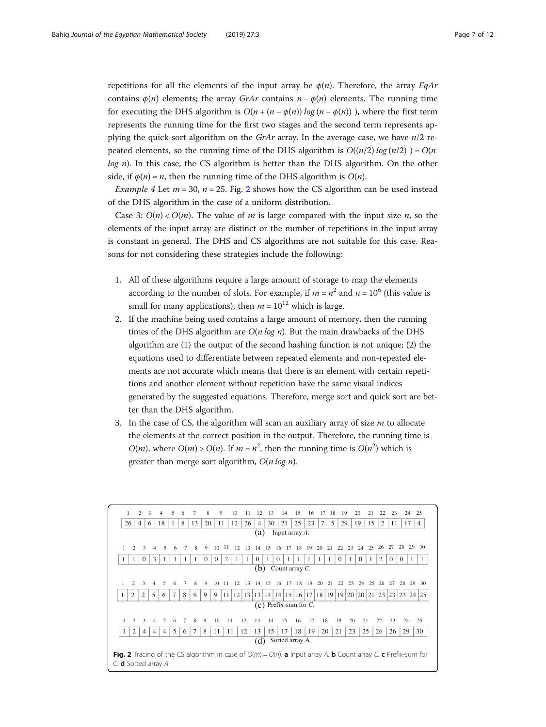repetitions for all the elements of the input array be  $\phi(n)$ . Therefore, the array EqAr contains  $\phi(n)$  elements; the array GrAr contains  $n - \phi(n)$  elements. The running time for executing the DHS algorithm is  $O(n + (n - \phi(n)) \log(n - \phi(n)))$ , where the first term represents the running time for the first two stages and the second term represents applying the quick sort algorithm on the GrAr array. In the average case, we have  $n/2$  repeated elements, so the running time of the DHS algorithm is  $O((n/2) \log(n/2)) = O(n)$  $log n$ ). In this case, the CS algorithm is better than the DHS algorithm. On the other side, if  $\phi(n) \approx n$ , then the running time of the DHS algorithm is  $O(n)$ .

*Example 4* Let  $m = 30$ ,  $n = 25$ . Fig. 2 shows how the CS algorithm can be used instead of the DHS algorithm in the case of a uniform distribution.

Case 3:  $O(n) < O(m)$ . The value of m is large compared with the input size n, so the elements of the input array are distinct or the number of repetitions in the input array is constant in general. The DHS and CS algorithms are not suitable for this case. Reasons for not considering these strategies include the following:

- 1. All of these algorithms require a large amount of storage to map the elements according to the number of slots. For example, if  $m = n^2$  and  $n = 10^6$  (this value is small for many applications), then  $m = 10^{12}$  which is large.
- 2. If the machine being used contains a large amount of memory, then the running times of the DHS algorithm are  $O(n \log n)$ . But the main drawbacks of the DHS algorithm are (1) the output of the second hashing function is not unique; (2) the equations used to differentiate between repeated elements and non-repeated elements are not accurate which means that there is an element with certain repetitions and another element without repetition have the same visual indices generated by the suggested equations. Therefore, merge sort and quick sort are better than the DHS algorithm.
- 3. In the case of CS, the algorithm will scan an auxiliary array of size  $m$  to allocate the elements at the correct position in the output. Therefore, the running time is  $O(m)$ , where  $O(m) > O(n)$ . If  $m = n^2$ , then the running time is  $O(n^2)$  which is greater than merge sort algorithm,  $O(n \log n)$ .

| 1                                                                                                                                                                          |               | $\overline{2}$ | $\mathbf{3}$   | 4              |   | 6 |    | 8        | 9        |                 | 10 | 11  |                | 13                                                   | 14       | 15       | 16 |    | 18 | 19       |    | 20       | 21 |                | 23       | 24                     |    | 25             |
|----------------------------------------------------------------------------------------------------------------------------------------------------------------------------|---------------|----------------|----------------|----------------|---|---|----|----------|----------|-----------------|----|-----|----------------|------------------------------------------------------|----------|----------|----|----|----|----------|----|----------|----|----------------|----------|------------------------|----|----------------|
| 26                                                                                                                                                                         |               | $\overline{4}$ | 6              | 18             | 1 | 8 | 13 | 20       | 11       |                 | 12 | 26  | $\overline{4}$ | 30                                                   | 21       | 25       | 23 | 7  | 5  | 29       |    | 19       | 15 | $\overline{2}$ | 11       | 17                     |    | $\overline{4}$ |
| Input array A.<br>(a)                                                                                                                                                      |               |                |                |                |   |   |    |          |          |                 |    |     |                |                                                      |          |          |    |    |    |          |    |          |    |                |          |                        |    |                |
| $\mathbf{1}$                                                                                                                                                               | 2             | $\mathbf{3}$   |                | 5              |   |   | 8  | 9        | 10       | -11             | 12 | -13 | 14 15          |                                                      | 16       | 17 18 19 |    | 20 | 21 | 22       | 23 | 24       | 25 | 26             | 27       | 28                     | 29 | 30             |
|                                                                                                                                                                            | 1             | $\Omega$       | 3              | 1              |   | 1 |    | $\Omega$ | $\Omega$ | $\overline{2}$  |    |     | $\Omega$       |                                                      | $\Omega$ |          |    |    |    | $\Omega$ |    | $\Omega$ | 1  | 2              | $\theta$ | $\theta$               |    |                |
| Count array $C$ .<br>(b)                                                                                                                                                   |               |                |                |                |   |   |    |          |          |                 |    |     |                |                                                      |          |          |    |    |    |          |    |          |    |                |          |                        |    |                |
| 1                                                                                                                                                                          | $\mathcal{L}$ | $\mathbf{3}$   |                | 5              | 6 | 7 | 8  | 9        | 10       | 11              | 12 | -13 |                | 14 15                                                | -16      | 17 18 19 |    | 20 | 21 | 22       | 23 | 24       | 25 | 26             | 27       | 28                     | 29 | -30            |
| 1                                                                                                                                                                          | 2             | $\overline{2}$ | 5              | 6              |   | 8 | 9  | 9        | 9        | 11 <sup>1</sup> | 12 |     | 13 13          | 14   14   15   16   17   18   19   19   20   20   21 |          |          |    |    |    |          |    |          |    |                |          | 23   23   23   24   25 |    |                |
|                                                                                                                                                                            |               |                |                |                |   |   |    |          |          |                 |    |     |                | $(c)$ Prefix-sum for C.                              |          |          |    |    |    |          |    |          |    |                |          |                        |    |                |
|                                                                                                                                                                            | $\mathcal{D}$ | 3              |                | 5              |   |   | 8  | 9        | 10       | 11              |    | 12  | 13             | 14                                                   | 15       | 16       | 17 | 18 |    | 19       | 20 | 21       |    | 22             | 23       | 24                     |    | 25             |
| -1                                                                                                                                                                         | 2             | 4              | $\overline{4}$ | $\overline{4}$ | 5 | 6 | 7  | 8        | 11       | 11              |    | 12  | 13             | 15                                                   | 17       | 18       | 19 | 20 |    | 21       | 23 | 25       |    | 26             | 26       | 29                     |    | 30             |
| (d)<br>Sorted array A.                                                                                                                                                     |               |                |                |                |   |   |    |          |          |                 |    |     |                |                                                      |          |          |    |    |    |          |    |          |    |                |          |                        |    |                |
| <b>Fig. 2</b> Tracing of the CS algorithm in case of $O(m) = O(n)$ . <b>a</b> Input array A. <b>b</b> Count array C. <b>c</b> Prefix-sum for<br>C. <b>d</b> Sorted array A |               |                |                |                |   |   |    |          |          |                 |    |     |                |                                                      |          |          |    |    |    |          |    |          |    |                |          |                        |    |                |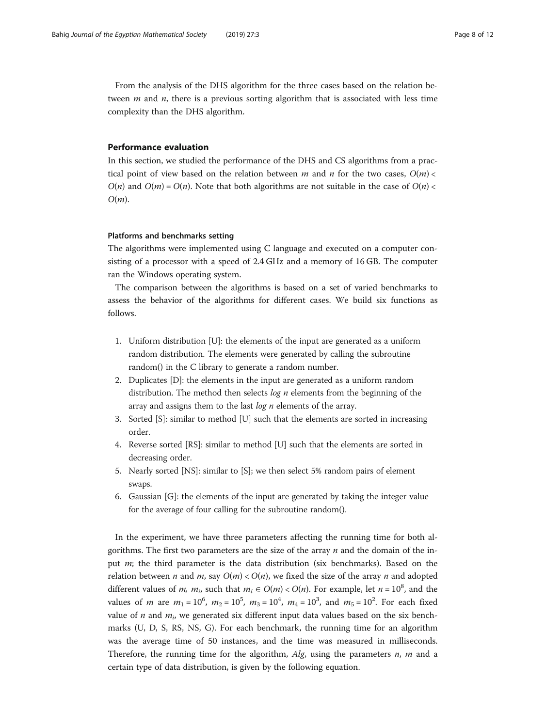<span id="page-7-0"></span>From the analysis of the DHS algorithm for the three cases based on the relation between  $m$  and  $n$ , there is a previous sorting algorithm that is associated with less time complexity than the DHS algorithm.

#### Performance evaluation

In this section, we studied the performance of the DHS and CS algorithms from a practical point of view based on the relation between m and n for the two cases,  $O(m)$  <  $O(n)$  and  $O(m) = O(n)$ . Note that both algorithms are not suitable in the case of  $O(n)$  $O(m)$ .

# Platforms and benchmarks setting

The algorithms were implemented using C language and executed on a computer consisting of a processor with a speed of 2.4 GHz and a memory of 16 GB. The computer ran the Windows operating system.

The comparison between the algorithms is based on a set of varied benchmarks to assess the behavior of the algorithms for different cases. We build six functions as follows.

- 1. Uniform distribution [U]: the elements of the input are generated as a uniform random distribution. The elements were generated by calling the subroutine random() in the C library to generate a random number.
- 2. Duplicates [D]: the elements in the input are generated as a uniform random distribution. The method then selects  $log n$  elements from the beginning of the array and assigns them to the last  $log n$  elements of the array.
- 3. Sorted [S]: similar to method [U] such that the elements are sorted in increasing order.
- 4. Reverse sorted [RS]: similar to method [U] such that the elements are sorted in decreasing order.
- 5. Nearly sorted [NS]: similar to [S]; we then select 5% random pairs of element swaps.
- 6. Gaussian [G]: the elements of the input are generated by taking the integer value for the average of four calling for the subroutine random().

In the experiment, we have three parameters affecting the running time for both algorithms. The first two parameters are the size of the array  $n$  and the domain of the input  $m$ ; the third parameter is the data distribution (six benchmarks). Based on the relation between *n* and *m*, say  $O(m) < O(n)$ , we fixed the size of the array *n* and adopted different values of *m*,  $m_i$ , such that  $m_i \in O(m) < O(n)$ . For example, let  $n = 10^8$ , and the values of *m* are  $m_1 = 10^6$ ,  $m_2 = 10^5$ ,  $m_3 = 10^4$ ,  $m_4 = 10^3$ , and  $m_5 = 10^2$ . For each fixed value of *n* and  $m_i$ , we generated six different input data values based on the six benchmarks (U, D, S, RS, NS, G). For each benchmark, the running time for an algorithm was the average time of 50 instances, and the time was measured in milliseconds. Therefore, the running time for the algorithm,  $Alg$ , using the parameters  $n$ ,  $m$  and a certain type of data distribution, is given by the following equation.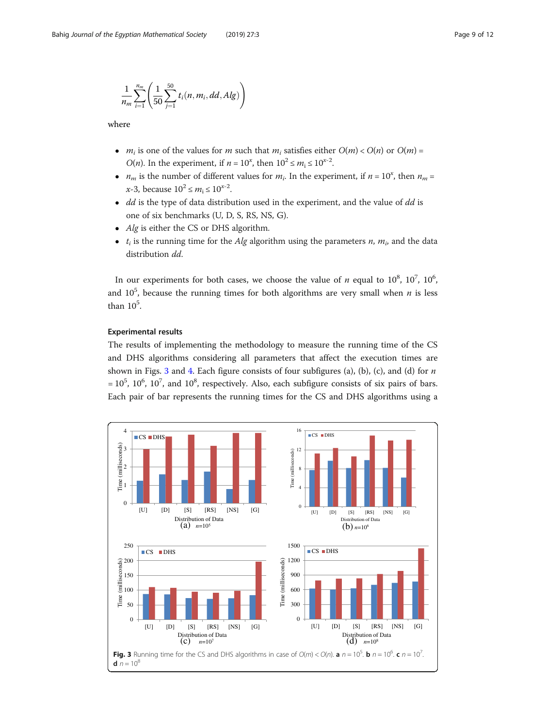<span id="page-8-0"></span>
$$
\frac{1}{n_m}\sum_{i=1}^{n_m}\left(\frac{1}{50}\sum_{j=1}^{50}t_i(n,m_i,dd,Alg)\right)
$$

where

- $m_i$  is one of the values for m such that  $m_i$  satisfies either  $O(m) < O(n)$  or  $O(m) =$ *O(n)*. In the experiment, if  $n = 10^x$ , then  $10^2 \le m_i \le 10^{x-2}$ .
- $n_m$  is the number of different values for  $m_i$ . In the experiment, if  $n = 10^x$ , then  $n_m =$  $x-3$ , because  $10^2 \le m_i \le 10^{x-2}$ .
- $\bullet$  dd is the type of data distribution used in the experiment, and the value of dd is one of six benchmarks (U, D, S, RS, NS, G).
- Alg is either the CS or DHS algorithm.
- $t_i$  is the running time for the Alg algorithm using the parameters n,  $m_i$ , and the data distribution dd.

In our experiments for both cases, we choose the value of *n* equal to  $10^8$ ,  $10^7$ ,  $10^6$ , and  $10^5$ , because the running times for both algorithms are very small when  $n$  is less than  $10^5$ .

# Experimental results

The results of implementing the methodology to measure the running time of the CS and DHS algorithms considering all parameters that affect the execution times are shown in Figs. 3 and [4](#page-9-0). Each figure consists of four subfigures (a), (b), (c), and (d) for  $n$  $= 10^5$ ,  $10^6$ ,  $10^7$ , and  $10^8$ , respectively. Also, each subfigure consists of six pairs of bars. Each pair of bar represents the running times for the CS and DHS algorithms using a

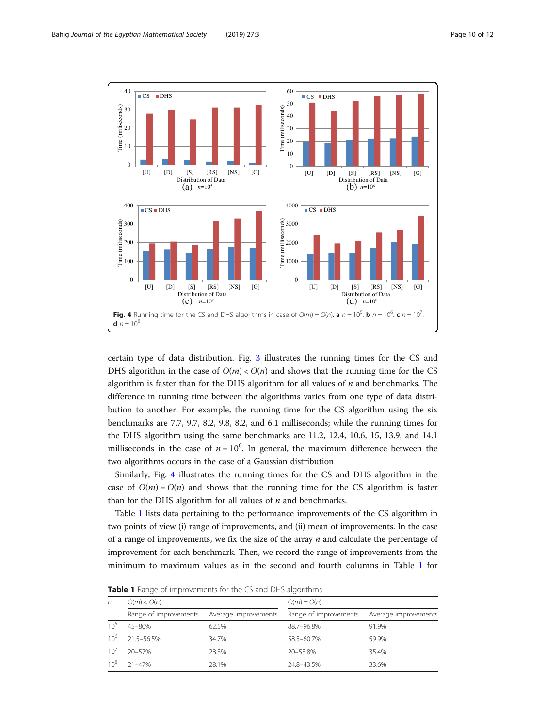<span id="page-9-0"></span>

certain type of data distribution. Fig. [3](#page-8-0) illustrates the running times for the CS and DHS algorithm in the case of  $O(m) < O(n)$  and shows that the running time for the CS algorithm is faster than for the DHS algorithm for all values of  $n$  and benchmarks. The difference in running time between the algorithms varies from one type of data distribution to another. For example, the running time for the CS algorithm using the six benchmarks are 7.7, 9.7, 8.2, 9.8, 8.2, and 6.1 milliseconds; while the running times for the DHS algorithm using the same benchmarks are 11.2, 12.4, 10.6, 15, 13.9, and 14.1 milliseconds in the case of  $n = 10^6$ . In general, the maximum difference between the two algorithms occurs in the case of a Gaussian distribution

Similarly, Fig. 4 illustrates the running times for the CS and DHS algorithm in the case of  $O(m) = O(n)$  and shows that the running time for the CS algorithm is faster than for the DHS algorithm for all values of  $n$  and benchmarks.

Table 1 lists data pertaining to the performance improvements of the CS algorithm in two points of view (i) range of improvements, and (ii) mean of improvements. In the case of a range of improvements, we fix the size of the array  $n$  and calculate the percentage of improvement for each benchmark. Then, we record the range of improvements from the minimum to maximum values as in the second and fourth columns in Table 1 for

| n               | O(m) < O(n)           |                      | $O(m) = O(n)$         |                      |  |  |  |  |  |  |
|-----------------|-----------------------|----------------------|-----------------------|----------------------|--|--|--|--|--|--|
|                 | Range of improvements | Average improvements | Range of improvements | Average improvements |  |  |  |  |  |  |
| $10^{5}$        | 45-80%                | 62.5%                | 88.7-96.8%            | 91.9%                |  |  |  |  |  |  |
| 10 <sup>6</sup> | 21.5-56.5%            | 34.7%                | 58.5-60.7%            | 59.9%                |  |  |  |  |  |  |
| 10'             | $20 - 57%$            | 28.3%                | 20-53.8%              | 35.4%                |  |  |  |  |  |  |
| $10^8$          | $21 - 47%$            | 28.1%                | 24.8-43.5%            | 33.6%                |  |  |  |  |  |  |

Table 1 Range of improvements for the CS and DHS algorithms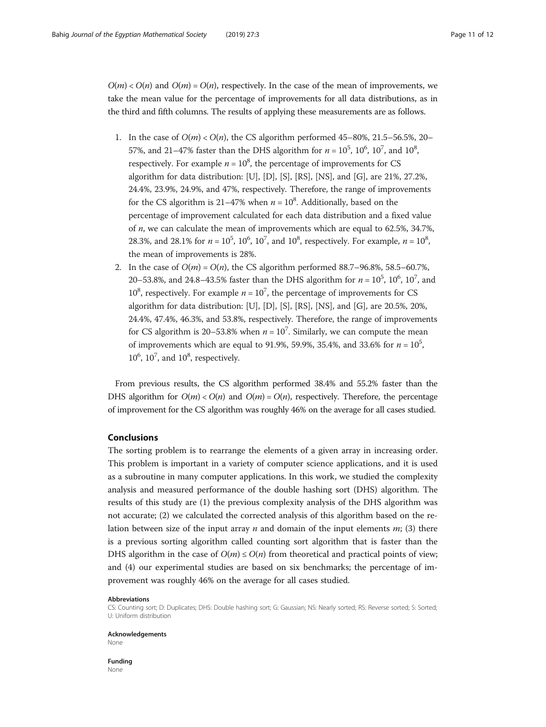<span id="page-10-0"></span> $O(m) < O(n)$  and  $O(m) = O(n)$ , respectively. In the case of the mean of improvements, we take the mean value for the percentage of improvements for all data distributions, as in the third and fifth columns. The results of applying these measurements are as follows.

- 1. In the case of  $O(m) < O(n)$ , the CS algorithm performed 45–80%, 21.5–56.5%, 20– 57%, and 21–47% faster than the DHS algorithm for  $n = 10^5$ ,  $10^6$ ,  $10^7$ , and  $10^8$ , respectively. For example  $n = 10^8$ , the percentage of improvements for CS algorithm for data distribution: [U], [D], [S], [RS], [NS], and [G], are 21%, 27.2%, 24.4%, 23.9%, 24.9%, and 47%, respectively. Therefore, the range of improvements for the CS algorithm is 21–47% when  $n = 10<sup>8</sup>$ . Additionally, based on the percentage of improvement calculated for each data distribution and a fixed value of n, we can calculate the mean of improvements which are equal to 62.5%, 34.7%, 28.3%, and 28.1% for  $n = 10^5$ ,  $10^6$ ,  $10^7$ , and  $10^8$ , respectively. For example,  $n = 10^8$ , the mean of improvements is 28%.
- 2. In the case of  $O(m) = O(n)$ , the CS algorithm performed 88.7–96.8%, 58.5–60.7%, 20–53.8%, and 24.8–43.5% faster than the DHS algorithm for  $n = 10^5$ ,  $10^6$ ,  $10^7$ , and  $10^8$ , respectively. For example  $n = 10^7$ , the percentage of improvements for CS algorithm for data distribution: [U], [D], [S], [RS], [NS], and [G], are 20.5%, 20%, 24.4%, 47.4%, 46.3%, and 53.8%, respectively. Therefore, the range of improvements for CS algorithm is 20–53.8% when  $n = 10<sup>7</sup>$ . Similarly, we can compute the mean of improvements which are equal to 91.9%, 59.9%, 35.4%, and 33.6% for  $n = 10^5$ ,  $10^6$ ,  $10^7$ , and  $10^8$ , respectively.

From previous results, the CS algorithm performed 38.4% and 55.2% faster than the DHS algorithm for  $O(m) < O(n)$  and  $O(m) = O(n)$ , respectively. Therefore, the percentage of improvement for the CS algorithm was roughly 46% on the average for all cases studied.

# **Conclusions**

The sorting problem is to rearrange the elements of a given array in increasing order. This problem is important in a variety of computer science applications, and it is used as a subroutine in many computer applications. In this work, we studied the complexity analysis and measured performance of the double hashing sort (DHS) algorithm. The results of this study are (1) the previous complexity analysis of the DHS algorithm was not accurate; (2) we calculated the corrected analysis of this algorithm based on the relation between size of the input array  $n$  and domain of the input elements  $m$ ; (3) there is a previous sorting algorithm called counting sort algorithm that is faster than the DHS algorithm in the case of  $O(m) \le O(n)$  from theoretical and practical points of view; and (4) our experimental studies are based on six benchmarks; the percentage of improvement was roughly 46% on the average for all cases studied.

#### Abbreviations

CS: Counting sort; D: Duplicates; DHS: Double hashing sort; G: Gaussian; NS: Nearly sorted; RS: Reverse sorted; S: Sorted; U: Uniform distribution

Acknowledgements None

Funding None